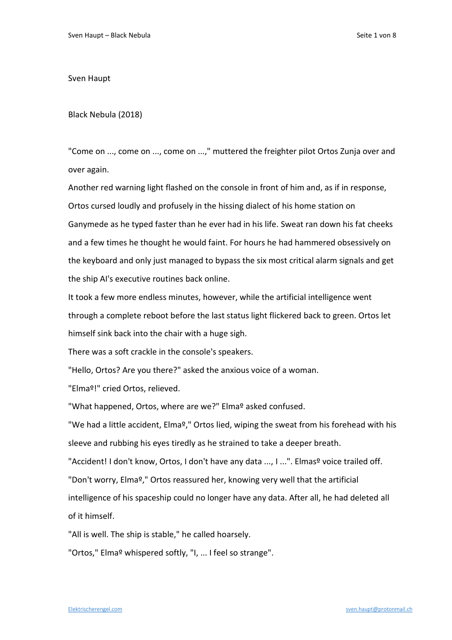Sven Haupt

Black Nebula (2018)

"Come on ..., come on ..., come on ...," muttered the freighter pilot Ortos Zunja over and over again.

Another red warning light flashed on the console in front of him and, as if in response, Ortos cursed loudly and profusely in the hissing dialect of his home station on Ganymede as he typed faster than he ever had in his life. Sweat ran down his fat cheeks and a few times he thought he would faint. For hours he had hammered obsessively on the keyboard and only just managed to bypass the six most critical alarm signals and get the ship AI's executive routines back online.

It took a few more endless minutes, however, while the artificial intelligence went through a complete reboot before the last status light flickered back to green. Ortos let himself sink back into the chair with a huge sigh.

There was a soft crackle in the console's speakers.

"Hello, Ortos? Are you there?" asked the anxious voice of a woman.

"Elmaº!" cried Ortos, relieved.

"What happened, Ortos, where are we?" Elma<sup>o</sup> asked confused.

"We had a little accident, Elmaº," Ortos lied, wiping the sweat from his forehead with his sleeve and rubbing his eyes tiredly as he strained to take a deeper breath.

"Accident! I don't know, Ortos, I don't have any data ..., I ...". Elmas<sup>o</sup> voice trailed off.

"Don't worry, Elmaº," Ortos reassured her, knowing very well that the artificial

intelligence of his spaceship could no longer have any data. After all, he had deleted all of it himself.

"All is well. The ship is stable," he called hoarsely.

"Ortos," Elmaº whispered softly, "I, ... I feel so strange".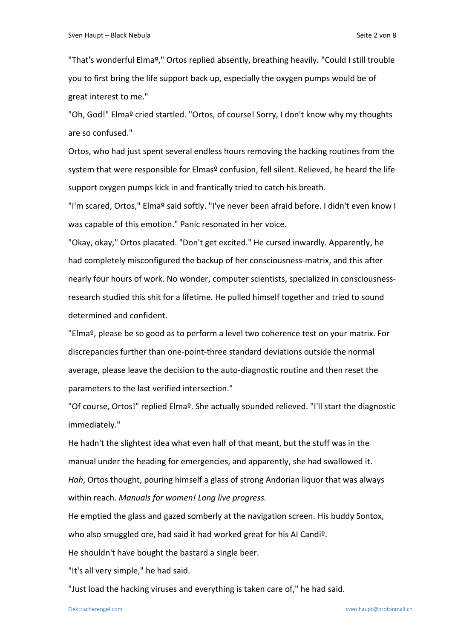"That's wonderful Elmaº," Ortos replied absently, breathing heavily. "Could I still trouble you to first bring the life support back up, especially the oxygen pumps would be of great interest to me."

"Oh, God!" Elmaº cried startled. "Ortos, of course! Sorry, I don't know why my thoughts are so confused."

Ortos, who had just spent several endless hours removing the hacking routines from the system that were responsible for Elmas<sup>o</sup> confusion, fell silent. Relieved, he heard the life support oxygen pumps kick in and frantically tried to catch his breath.

"I'm scared, Ortos," Elmaº said softly. "I've never been afraid before. I didn't even know I was capable of this emotion." Panic resonated in her voice.

"Okay, okay," Ortos placated. "Don't get excited." He cursed inwardly. Apparently, he had completely misconfigured the backup of her consciousness-matrix, and this after nearly four hours of work. No wonder, computer scientists, specialized in consciousnessresearch studied this shit for a lifetime. He pulled himself together and tried to sound determined and confident.

"Elmaº, please be so good as to perform a level two coherence test on your matrix. For discrepancies further than one-point-three standard deviations outside the normal average, please leave the decision to the auto-diagnostic routine and then reset the parameters to the last verified intersection."

"Of course, Ortos!" replied Elmaº. She actually sounded relieved. "I'll start the diagnostic immediately."

He hadn't the slightest idea what even half of that meant, but the stuff was in the manual under the heading for emergencies, and apparently, she had swallowed it. *Hah*, Ortos thought, pouring himself a glass of strong Andorian liquor that was always within reach. *Manuals for women! Long live progress.* 

He emptied the glass and gazed somberly at the navigation screen. His buddy Sontox, who also smuggled ore, had said it had worked great for his AI Candi<sup>o</sup>.

He shouldn't have bought the bastard a single beer.

"It's all very simple," he had said.

"Just load the hacking viruses and everything is taken care of," he had said.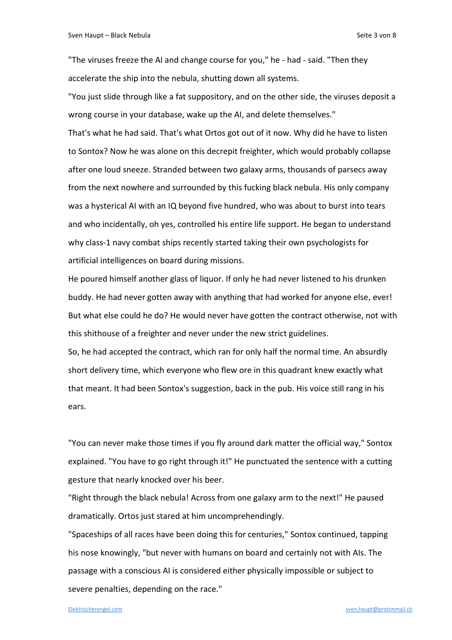"The viruses freeze the AI and change course for you," he - had - said. "Then they accelerate the ship into the nebula, shutting down all systems.

"You just slide through like a fat suppository, and on the other side, the viruses deposit a wrong course in your database, wake up the AI, and delete themselves."

That's what he had said. That's what Ortos got out of it now. Why did he have to listen to Sontox? Now he was alone on this decrepit freighter, which would probably collapse after one loud sneeze. Stranded between two galaxy arms, thousands of parsecs away from the next nowhere and surrounded by this fucking black nebula. His only company was a hysterical AI with an IQ beyond five hundred, who was about to burst into tears and who incidentally, oh yes, controlled his entire life support. He began to understand why class-1 navy combat ships recently started taking their own psychologists for artificial intelligences on board during missions.

He poured himself another glass of liquor. If only he had never listened to his drunken buddy. He had never gotten away with anything that had worked for anyone else, ever! But what else could he do? He would never have gotten the contract otherwise, not with this shithouse of a freighter and never under the new strict guidelines.

So, he had accepted the contract, which ran for only half the normal time. An absurdly short delivery time, which everyone who flew ore in this quadrant knew exactly what that meant. It had been Sontox's suggestion, back in the pub. His voice still rang in his ears.

"You can never make those times if you fly around dark matter the official way," Sontox explained. "You have to go right through it!" He punctuated the sentence with a cutting gesture that nearly knocked over his beer.

"Right through the black nebula! Across from one galaxy arm to the next!" He paused dramatically. Ortos just stared at him uncomprehendingly.

"Spaceships of all races have been doing this for centuries," Sontox continued, tapping his nose knowingly, "but never with humans on board and certainly not with AIs. The passage with a conscious AI is considered either physically impossible or subject to severe penalties, depending on the race."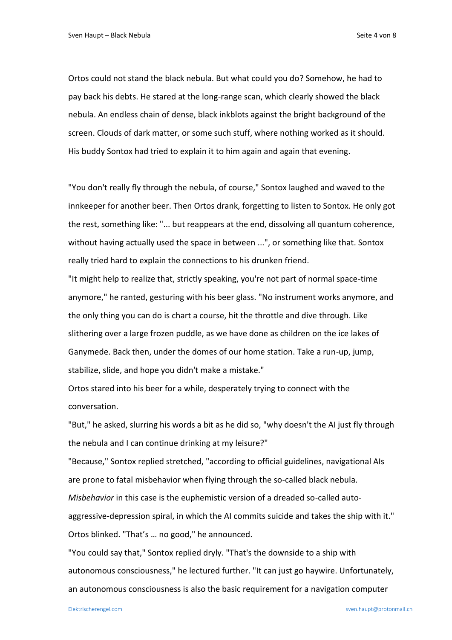Ortos could not stand the black nebula. But what could you do? Somehow, he had to pay back his debts. He stared at the long-range scan, which clearly showed the black nebula. An endless chain of dense, black inkblots against the bright background of the screen. Clouds of dark matter, or some such stuff, where nothing worked as it should. His buddy Sontox had tried to explain it to him again and again that evening.

"You don't really fly through the nebula, of course," Sontox laughed and waved to the innkeeper for another beer. Then Ortos drank, forgetting to listen to Sontox. He only got the rest, something like: "... but reappears at the end, dissolving all quantum coherence, without having actually used the space in between ...", or something like that. Sontox really tried hard to explain the connections to his drunken friend.

"It might help to realize that, strictly speaking, you're not part of normal space-time anymore," he ranted, gesturing with his beer glass. "No instrument works anymore, and the only thing you can do is chart a course, hit the throttle and dive through. Like slithering over a large frozen puddle, as we have done as children on the ice lakes of Ganymede. Back then, under the domes of our home station. Take a run-up, jump, stabilize, slide, and hope you didn't make a mistake."

Ortos stared into his beer for a while, desperately trying to connect with the conversation.

"But," he asked, slurring his words a bit as he did so, "why doesn't the AI just fly through the nebula and I can continue drinking at my leisure?"

"Because," Sontox replied stretched, "according to official guidelines, navigational AIs are prone to fatal misbehavior when flying through the so-called black nebula. *Misbehavior* in this case is the euphemistic version of a dreaded so-called autoaggressive-depression spiral, in which the AI commits suicide and takes the ship with it." Ortos blinked. "That's … no good," he announced.

"You could say that," Sontox replied dryly. "That's the downside to a ship with autonomous consciousness," he lectured further. "It can just go haywire. Unfortunately, an autonomous consciousness is also the basic requirement for a navigation computer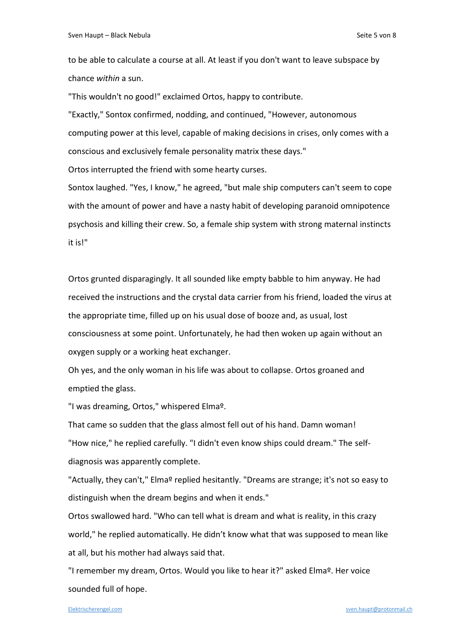to be able to calculate a course at all. At least if you don't want to leave subspace by chance *within* a sun.

"This wouldn't no good!" exclaimed Ortos, happy to contribute. "Exactly," Sontox confirmed, nodding, and continued, "However, autonomous

computing power at this level, capable of making decisions in crises, only comes with a conscious and exclusively female personality matrix these days."

Ortos interrupted the friend with some hearty curses.

Sontox laughed. "Yes, I know," he agreed, "but male ship computers can't seem to cope with the amount of power and have a nasty habit of developing paranoid omnipotence psychosis and killing their crew. So, a female ship system with strong maternal instincts it is!"

Ortos grunted disparagingly. It all sounded like empty babble to him anyway. He had received the instructions and the crystal data carrier from his friend, loaded the virus at the appropriate time, filled up on his usual dose of booze and, as usual, lost consciousness at some point. Unfortunately, he had then woken up again without an oxygen supply or a working heat exchanger.

Oh yes, and the only woman in his life was about to collapse. Ortos groaned and emptied the glass.

"I was dreaming, Ortos," whispered Elmaº.

That came so sudden that the glass almost fell out of his hand. Damn woman! "How nice," he replied carefully. "I didn't even know ships could dream." The selfdiagnosis was apparently complete.

"Actually, they can't," Elma<sup>o</sup> replied hesitantly. "Dreams are strange; it's not so easy to distinguish when the dream begins and when it ends."

Ortos swallowed hard. "Who can tell what is dream and what is reality, in this crazy world," he replied automatically. He didn't know what that was supposed to mean like at all, but his mother had always said that.

"I remember my dream, Ortos. Would you like to hear it?" asked Elmaº. Her voice sounded full of hope.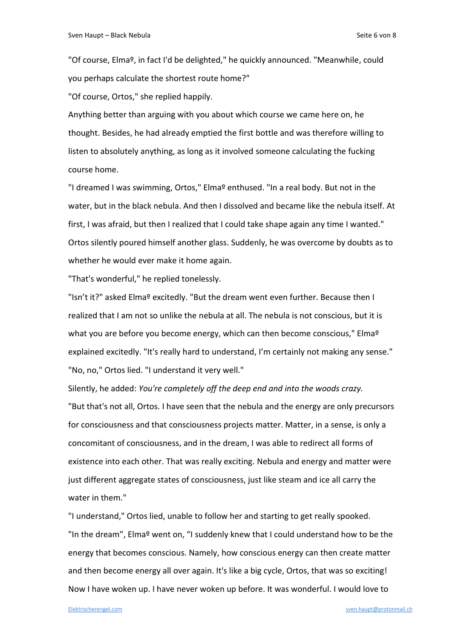"Of course, Elmaº, in fact I'd be delighted," he quickly announced. "Meanwhile, could you perhaps calculate the shortest route home?"

"Of course, Ortos," she replied happily.

Anything better than arguing with you about which course we came here on, he thought. Besides, he had already emptied the first bottle and was therefore willing to listen to absolutely anything, as long as it involved someone calculating the fucking course home.

"I dreamed I was swimming, Ortos," Elma<sup>o</sup> enthused. "In a real body. But not in the water, but in the black nebula. And then I dissolved and became like the nebula itself. At first, I was afraid, but then I realized that I could take shape again any time I wanted." Ortos silently poured himself another glass. Suddenly, he was overcome by doubts as to whether he would ever make it home again.

"That's wonderful," he replied tonelessly.

"Isn't it?" asked Elmaº excitedly. "But the dream went even further. Because then I realized that I am not so unlike the nebula at all. The nebula is not conscious, but it is what you are before you become energy, which can then become conscious," Elma<sup>o</sup> explained excitedly. "It's really hard to understand, I'm certainly not making any sense." "No, no," Ortos lied. "I understand it very well."

Silently, he added: *You're completely off the deep end and into the woods crazy.* "But that's not all, Ortos. I have seen that the nebula and the energy are only precursors for consciousness and that consciousness projects matter. Matter, in a sense, is only a concomitant of consciousness, and in the dream, I was able to redirect all forms of existence into each other. That was really exciting. Nebula and energy and matter were just different aggregate states of consciousness, just like steam and ice all carry the water in them."

"I understand," Ortos lied, unable to follow her and starting to get really spooked. "In the dream", Elmaº went on, "I suddenly knew that I could understand how to be the energy that becomes conscious. Namely, how conscious energy can then create matter and then become energy all over again. It's like a big cycle, Ortos, that was so exciting! Now I have woken up. I have never woken up before. It was wonderful. I would love to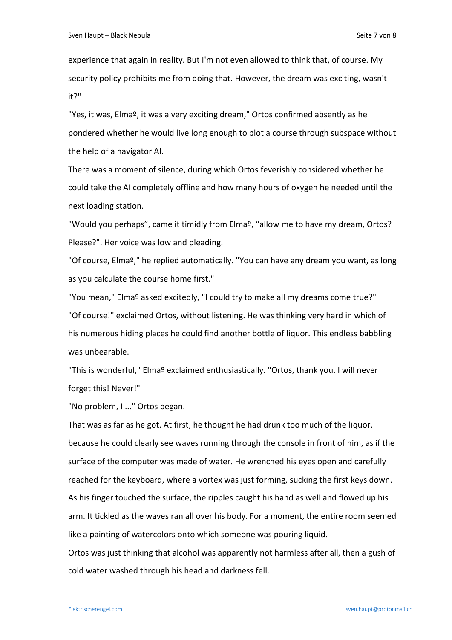experience that again in reality. But I'm not even allowed to think that, of course. My security policy prohibits me from doing that. However, the dream was exciting, wasn't it?"

"Yes, it was, Elma<sup>o</sup>, it was a very exciting dream," Ortos confirmed absently as he pondered whether he would live long enough to plot a course through subspace without the help of a navigator AI.

There was a moment of silence, during which Ortos feverishly considered whether he could take the AI completely offline and how many hours of oxygen he needed until the next loading station.

"Would you perhaps", came it timidly from Elmaº, "allow me to have my dream, Ortos? Please?". Her voice was low and pleading.

"Of course, Elmaº," he replied automatically. "You can have any dream you want, as long as you calculate the course home first."

"You mean," Elmaº asked excitedly, "I could try to make all my dreams come true?" "Of course!" exclaimed Ortos, without listening. He was thinking very hard in which of his numerous hiding places he could find another bottle of liquor. This endless babbling was unbearable.

"This is wonderful," Elmaº exclaimed enthusiastically. "Ortos, thank you. I will never forget this! Never!"

"No problem, I ..." Ortos began.

That was as far as he got. At first, he thought he had drunk too much of the liquor, because he could clearly see waves running through the console in front of him, as if the surface of the computer was made of water. He wrenched his eyes open and carefully reached for the keyboard, where a vortex was just forming, sucking the first keys down. As his finger touched the surface, the ripples caught his hand as well and flowed up his arm. It tickled as the waves ran all over his body. For a moment, the entire room seemed like a painting of watercolors onto which someone was pouring liquid.

Ortos was just thinking that alcohol was apparently not harmless after all, then a gush of cold water washed through his head and darkness fell.